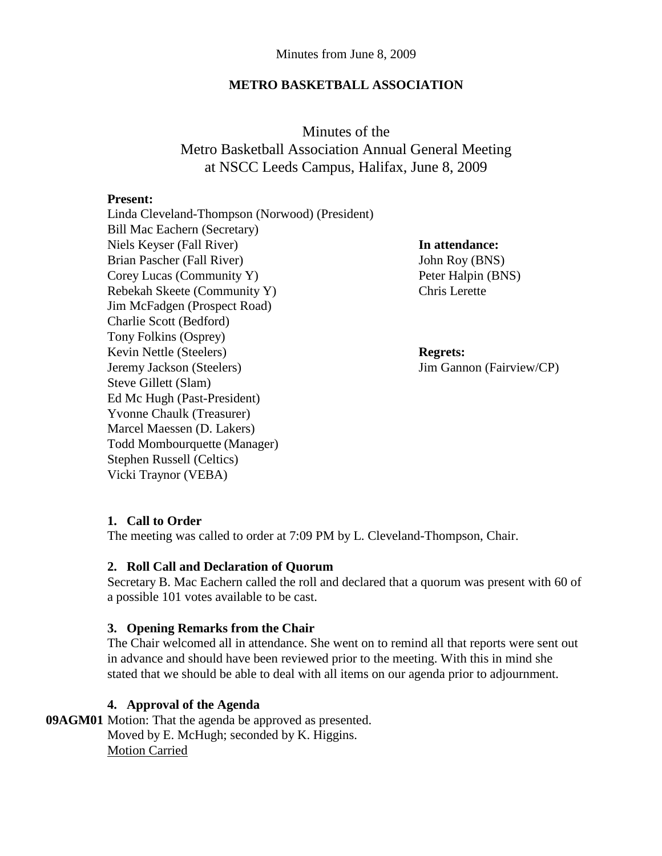### **METRO BASKETBALL ASSOCIATION**

Minutes of the Metro Basketball Association Annual General Meeting at NSCC Leeds Campus, Halifax, June 8, 2009

#### **Present:**

Linda Cleveland-Thompson (Norwood) (President) Bill Mac Eachern (Secretary) Niels Keyser (Fall River) **In attendance:** Brian Pascher (Fall River) John Roy (BNS) Corey Lucas (Community Y) Peter Halpin (BNS) Rebekah Skeete (Community Y) Chris Lerette Jim McFadgen (Prospect Road) Charlie Scott (Bedford) Tony Folkins (Osprey) Kevin Nettle (Steelers) **Regrets:** Jeremy Jackson (Steelers) Jim Gannon (Fairview/CP) Steve Gillett (Slam) Ed Mc Hugh (Past-President) Yvonne Chaulk (Treasurer) Marcel Maessen (D. Lakers) Todd Mombourquette (Manager) Stephen Russell (Celtics) Vicki Traynor (VEBA)

# **1. Call to Order**

The meeting was called to order at 7:09 PM by L. Cleveland-Thompson, Chair.

## **2. Roll Call and Declaration of Quorum**

Secretary B. Mac Eachern called the roll and declared that a quorum was present with 60 of a possible 101 votes available to be cast.

## **3. Opening Remarks from the Chair**

The Chair welcomed all in attendance. She went on to remind all that reports were sent out in advance and should have been reviewed prior to the meeting. With this in mind she stated that we should be able to deal with all items on our agenda prior to adjournment.

## **4. Approval of the Agenda**

**09AGM01** Motion: That the agenda be approved as presented. Moved by E. McHugh; seconded by K. Higgins. Motion Carried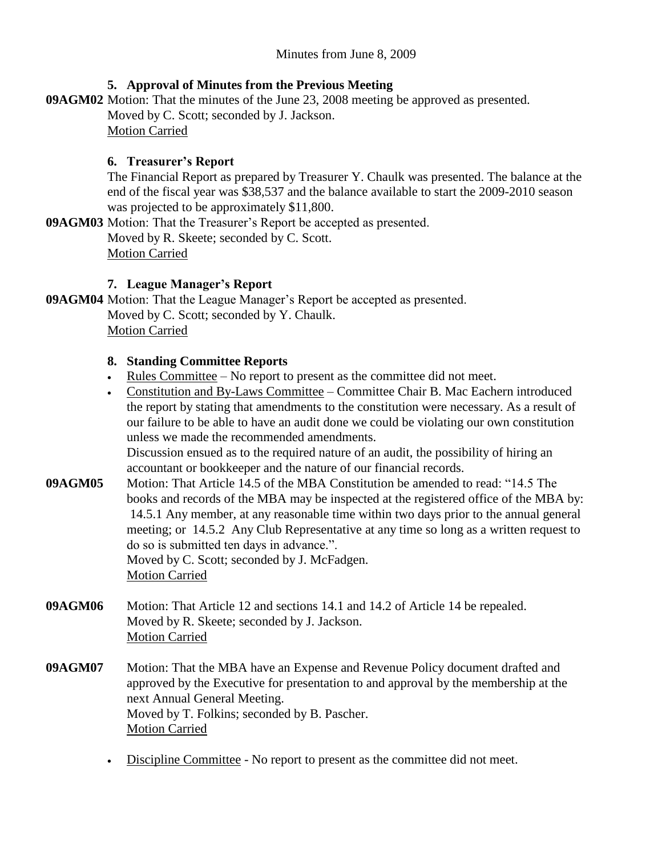# **5. Approval of Minutes from the Previous Meeting**

**09AGM02** Motion: That the minutes of the June 23, 2008 meeting be approved as presented.

Moved by C. Scott; seconded by J. Jackson.

Motion Carried

# **6. Treasurer's Report**

The Financial Report as prepared by Treasurer Y. Chaulk was presented. The balance at the end of the fiscal year was \$38,537 and the balance available to start the 2009-2010 season was projected to be approximately \$11,800.

**09AGM03** Motion: That the Treasurer's Report be accepted as presented. Moved by R. Skeete; seconded by C. Scott. Motion Carried

# **7. League Manager's Report**

**09AGM04** Motion: That the League Manager's Report be accepted as presented. Moved by C. Scott; seconded by Y. Chaulk. Motion Carried

# **8. Standing Committee Reports**

- Rules Committee No report to present as the committee did not meet.
- Constitution and By-Laws Committee Committee Chair B. Mac Eachern introduced the report by stating that amendments to the constitution were necessary. As a result of our failure to be able to have an audit done we could be violating our own constitution unless we made the recommended amendments.

Discussion ensued as to the required nature of an audit, the possibility of hiring an accountant or bookkeeper and the nature of our financial records.

**09AGM05** Motion: That Article 14.5 of the MBA Constitution be amended to read: "14.5 The books and records of the MBA may be inspected at the registered office of the MBA by: 14.5.1 Any member, at any reasonable time within two days prior to the annual general meeting; or 14.5.2 Any Club Representative at any time so long as a written request to do so is submitted ten days in advance.". Moved by C. Scott; seconded by J. McFadgen.

Motion Carried

- **09AGM06** Motion: That Article 12 and sections 14.1 and 14.2 of Article 14 be repealed. Moved by R. Skeete; seconded by J. Jackson. Motion Carried
- **09AGM07** Motion: That the MBA have an Expense and Revenue Policy document drafted and approved by the Executive for presentation to and approval by the membership at the next Annual General Meeting. Moved by T. Folkins; seconded by B. Pascher. Motion Carried
	- Discipline Committee No report to present as the committee did not meet.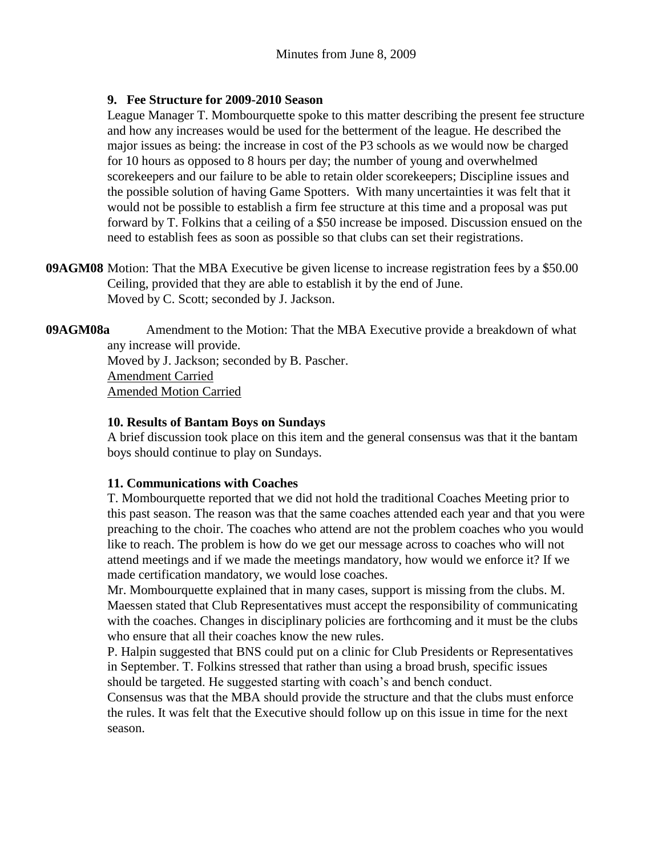## **9. Fee Structure for 2009-2010 Season**

League Manager T. Mombourquette spoke to this matter describing the present fee structure and how any increases would be used for the betterment of the league. He described the major issues as being: the increase in cost of the P3 schools as we would now be charged for 10 hours as opposed to 8 hours per day; the number of young and overwhelmed scorekeepers and our failure to be able to retain older scorekeepers; Discipline issues and the possible solution of having Game Spotters. With many uncertainties it was felt that it would not be possible to establish a firm fee structure at this time and a proposal was put forward by T. Folkins that a ceiling of a \$50 increase be imposed. Discussion ensued on the need to establish fees as soon as possible so that clubs can set their registrations.

**09AGM08** Motion: That the MBA Executive be given license to increase registration fees by a \$50.00 Ceiling, provided that they are able to establish it by the end of June. Moved by C. Scott; seconded by J. Jackson.

**09AGM08a** Amendment to the Motion: That the MBA Executive provide a breakdown of what any increase will provide. Moved by J. Jackson; seconded by B. Pascher. Amendment Carried Amended Motion Carried

## **10. Results of Bantam Boys on Sundays**

A brief discussion took place on this item and the general consensus was that it the bantam boys should continue to play on Sundays.

## **11. Communications with Coaches**

T. Mombourquette reported that we did not hold the traditional Coaches Meeting prior to this past season. The reason was that the same coaches attended each year and that you were preaching to the choir. The coaches who attend are not the problem coaches who you would like to reach. The problem is how do we get our message across to coaches who will not attend meetings and if we made the meetings mandatory, how would we enforce it? If we made certification mandatory, we would lose coaches.

Mr. Mombourquette explained that in many cases, support is missing from the clubs. M. Maessen stated that Club Representatives must accept the responsibility of communicating with the coaches. Changes in disciplinary policies are forthcoming and it must be the clubs who ensure that all their coaches know the new rules.

P. Halpin suggested that BNS could put on a clinic for Club Presidents or Representatives in September. T. Folkins stressed that rather than using a broad brush, specific issues should be targeted. He suggested starting with coach's and bench conduct.

Consensus was that the MBA should provide the structure and that the clubs must enforce the rules. It was felt that the Executive should follow up on this issue in time for the next season.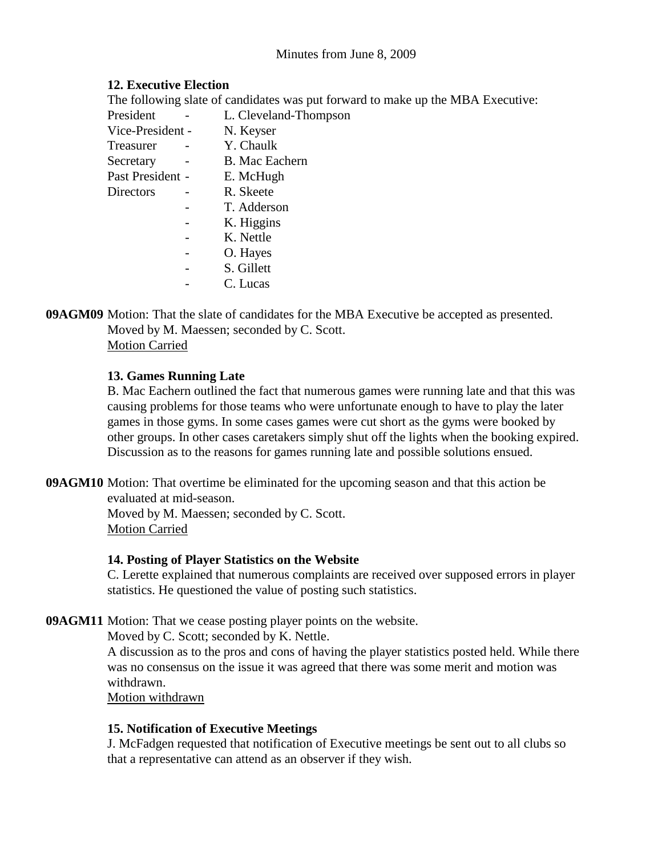# **12. Executive Election**

|   | The following slate of candidates was put forward to make up the MBA Executive: |
|---|---------------------------------------------------------------------------------|
|   | L. Cleveland-Thompson                                                           |
|   | N. Keyser                                                                       |
|   | Y. Chaulk                                                                       |
|   | <b>B.</b> Mac Eachern                                                           |
|   | E. McHugh                                                                       |
| - | R. Skeete                                                                       |
|   | T. Adderson                                                                     |
|   | K. Higgins                                                                      |
|   | K. Nettle                                                                       |
|   | O. Hayes                                                                        |
|   | S. Gillett                                                                      |
|   | Vice-President -<br>Past President -                                            |

- C. Lucas

**09AGM09** Motion: That the slate of candidates for the MBA Executive be accepted as presented. Moved by M. Maessen; seconded by C. Scott. Motion Carried

# **13. Games Running Late**

B. Mac Eachern outlined the fact that numerous games were running late and that this was causing problems for those teams who were unfortunate enough to have to play the later games in those gyms. In some cases games were cut short as the gyms were booked by other groups. In other cases caretakers simply shut off the lights when the booking expired. Discussion as to the reasons for games running late and possible solutions ensued.

**09AGM10** Motion: That overtime be eliminated for the upcoming season and that this action be evaluated at mid-season.

Moved by M. Maessen; seconded by C. Scott. Motion Carried

# **14. Posting of Player Statistics on the Website**

C. Lerette explained that numerous complaints are received over supposed errors in player statistics. He questioned the value of posting such statistics.

**09AGM11** Motion: That we cease posting player points on the website.

Moved by C. Scott; seconded by K. Nettle.

A discussion as to the pros and cons of having the player statistics posted held. While there was no consensus on the issue it was agreed that there was some merit and motion was withdrawn.

Motion withdrawn

# **15. Notification of Executive Meetings**

J. McFadgen requested that notification of Executive meetings be sent out to all clubs so that a representative can attend as an observer if they wish.